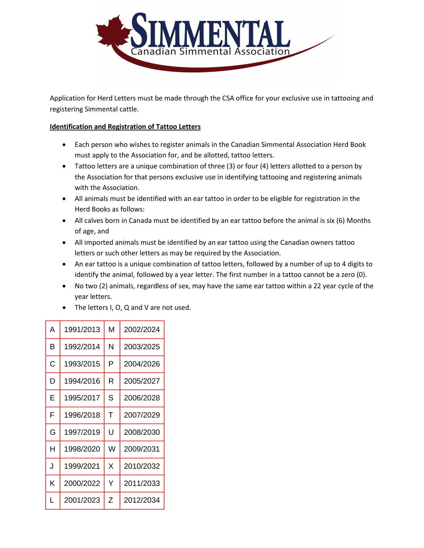

Application for Herd Letters must be made through the CSA office for your exclusive use in tattooing and registering Simmental cattle.

# **Identification and Registration of Tattoo Letters**

- Each person who wishes to register animals in the Canadian Simmental Association Herd Book must apply to the Association for, and be allotted, tattoo letters.
- Tattoo letters are a unique combination of three (3) or four (4) letters allotted to a person by the Association for that persons exclusive use in identifying tattooing and registering animals with the Association.
- All animals must be identified with an ear tattoo in order to be eligible for registration in the Herd Books as follows:
- All calves born in Canada must be identified by an ear tattoo before the animal is six (6) Months of age, and
- All imported animals must be identified by an ear tattoo using the Canadian owners tattoo letters or such other letters as may be required by the Association.
- An ear tattoo is a unique combination of tattoo letters, followed by a number of up to 4 digits to identify the animal, followed by a year letter. The first number in a tattoo cannot be a zero (0).
- No two (2) animals, regardless of sex, may have the same ear tattoo within a 22 year cycle of the year letters.
- The letters I, O, Q and V are not used.

| Α | 1991/2013 | M | 2002/2024 |
|---|-----------|---|-----------|
| в | 1992/2014 | N | 2003/2025 |
| C | 1993/2015 | P | 2004/2026 |
| D | 1994/2016 | R | 2005/2027 |
| E | 1995/2017 | S | 2006/2028 |
| F | 1996/2018 | T | 2007/2029 |
| G | 1997/2019 | Ù | 2008/2030 |
| н | 1998/2020 | W | 2009/2031 |
| J | 1999/2021 | X | 2010/2032 |
| K | 2000/2022 | Y | 2011/2033 |
| L | 2001/2023 | Z | 2012/2034 |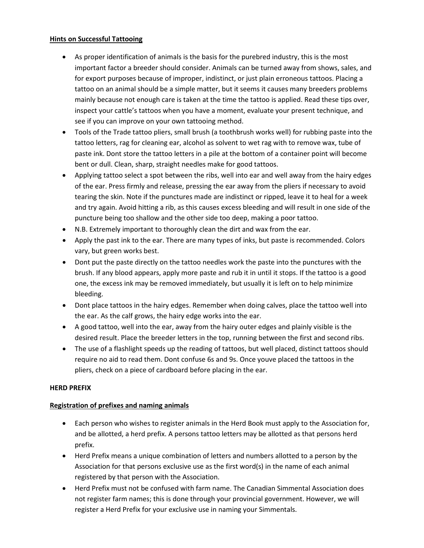## **Hints on Successful Tattooing**

- As proper identification of animals is the basis for the purebred industry, this is the most important factor a breeder should consider. Animals can be turned away from shows, sales, and for export purposes because of improper, indistinct, or just plain erroneous tattoos. Placing a tattoo on an animal should be a simple matter, but it seems it causes many breeders problems mainly because not enough care is taken at the time the tattoo is applied. Read these tips over, inspect your cattle's tattoos when you have a moment, evaluate your present technique, and see if you can improve on your own tattooing method.
- Tools of the Trade tattoo pliers, small brush (a toothbrush works well) for rubbing paste into the tattoo letters, rag for cleaning ear, alcohol as solvent to wet rag with to remove wax, tube of paste ink. Dont store the tattoo letters in a pile at the bottom of a container point will become bent or dull. Clean, sharp, straight needles make for good tattoos.
- Applying tattoo select a spot between the ribs, well into ear and well away from the hairy edges of the ear. Press firmly and release, pressing the ear away from the pliers if necessary to avoid tearing the skin. Note if the punctures made are indistinct or ripped, leave it to heal for a week and try again. Avoid hitting a rib, as this causes excess bleeding and will result in one side of the puncture being too shallow and the other side too deep, making a poor tattoo.
- N.B. Extremely important to thoroughly clean the dirt and wax from the ear.
- Apply the past ink to the ear. There are many types of inks, but paste is recommended. Colors vary, but green works best.
- Dont put the paste directly on the tattoo needles work the paste into the punctures with the brush. If any blood appears, apply more paste and rub it in until it stops. If the tattoo is a good one, the excess ink may be removed immediately, but usually it is left on to help minimize bleeding.
- Dont place tattoos in the hairy edges. Remember when doing calves, place the tattoo well into the ear. As the calf grows, the hairy edge works into the ear.
- A good tattoo, well into the ear, away from the hairy outer edges and plainly visible is the desired result. Place the breeder letters in the top, running between the first and second ribs.
- The use of a flashlight speeds up the reading of tattoos, but well placed, distinct tattoos should require no aid to read them. Dont confuse 6s and 9s. Once youve placed the tattoos in the pliers, check on a piece of cardboard before placing in the ear.

## **HERD PREFIX**

## **Registration of prefixes and naming animals**

- Each person who wishes to register animals in the Herd Book must apply to the Association for, and be allotted, a herd prefix. A persons tattoo letters may be allotted as that persons herd prefix.
- Herd Prefix means a unique combination of letters and numbers allotted to a person by the Association for that persons exclusive use as the first word(s) in the name of each animal registered by that person with the Association.
- Herd Prefix must not be confused with farm name. The Canadian Simmental Association does not register farm names; this is done through your provincial government. However, we will register a Herd Prefix for your exclusive use in naming your Simmentals.